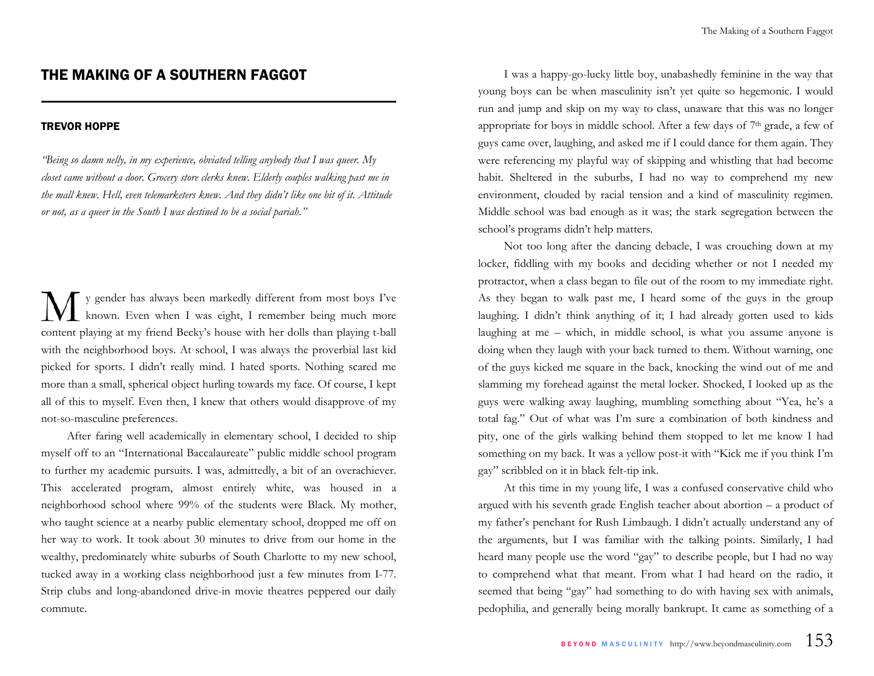## THE MAKING OF A SOUTHERN FAGGOT

## TREVOR HOPPE

*"Being so damn nelly, in my experience, obviated telling anybody that I was queer. My closet came without a door. Grocery store clerks knew. Elderly couples walking past me in the mall knew. Hell, even telemarketers knew. And they didn't like one bit of it. Attitude or not, as a queer in the South I was destined to be a social pariah."* 

y gender has always been markedly different from most boys I've known. Even when I was eight, I remember being much more content playing at my friend Becky's house with her dolls than playing t-ball with the neighborhood boys. At school, I was always the proverbial last kid picked for sports. I didn't really mind. I hated sports. Nothing scared me more than a small, spherical object hurling towards my face. Of course, I kept all of this to myself. Even then, I knew that others would disapprove of my not-so-masculine preferences.

After faring well academically in elementary school, I decided to ship myself off to an "International Baccalaureate" public middle school program to further my academic pursuits. I was, admittedly, a bit of an overachiever. This accelerated program, almost entirely white, was housed in a neighborhood school where 99% of the students were Black. My mother, who taught science at a nearby public elementary school, dropped me off on her way to work. It took about 30 minutes to drive from our home in the wealthy, predominately white suburbs of South Charlotte to my new school, tucked away in a working class neighborhood just a few minutes from I-77. Strip clubs and long-abandoned drive-in movie theatres peppered our daily commute.

I was a happy-go-lucky little boy, unabashedly feminine in the way that young boys can be when masculinity isn't yet quite so hegemonic. I would run and jump and skip on my way to class, unaware that this was no longer appropriate for boys in middle school. After a few days of 7<sup>th</sup> grade, a few of guys came over, laughing, and asked me if I could dance for them again. They were referencing my playful way of skipping and whistling that had become habit. Sheltered in the suburbs, I had no way to comprehend my new environment, clouded by racial tension and a kind of masculinity regimen. Middle school was bad enough as it was; the stark segregation between the school's programs didn't help matters.

Not too long after the dancing debacle, I was crouching down at my locker, fiddling with my books and deciding whether or not I needed my protractor, when a class began to file out of the room to my immediate right. As they began to walk past me, I heard some of the guys in the group laughing. I didn't think anything of it; I had already gotten used to kids laughing at me – which, in middle school, is what you assume anyone is doing when they laugh with your back turned to them. Without warning, one of the guys kicked me square in the back, knocking the wind out of me and slamming my forehead against the metal locker. Shocked, I looked up as the guys were walking away laughing, mumbling something about "Yea, he's a total fag." Out of what was I'm sure a combination of both kindness and pity, one of the girls walking behind them stopped to let me know I had something on my back. It was a yellow post-it with "Kick me if you think I'm gay" scribbled on it in black felt-tip ink.

At this time in my young life, I was a confused conservative child who argued with his seventh grade English teacher about abortion – a product of my father's penchant for Rush Limbaugh. I didn't actually understand any of the arguments, but I was familiar with the talking points. Similarly, I had heard many people use the word "gay" to describe people, but I had no way to comprehend what that meant. From what I had heard on the radio, it seemed that being "gay" had something to do with having sex with animals, pedophilia, and generally being morally bankrupt. It came as something of a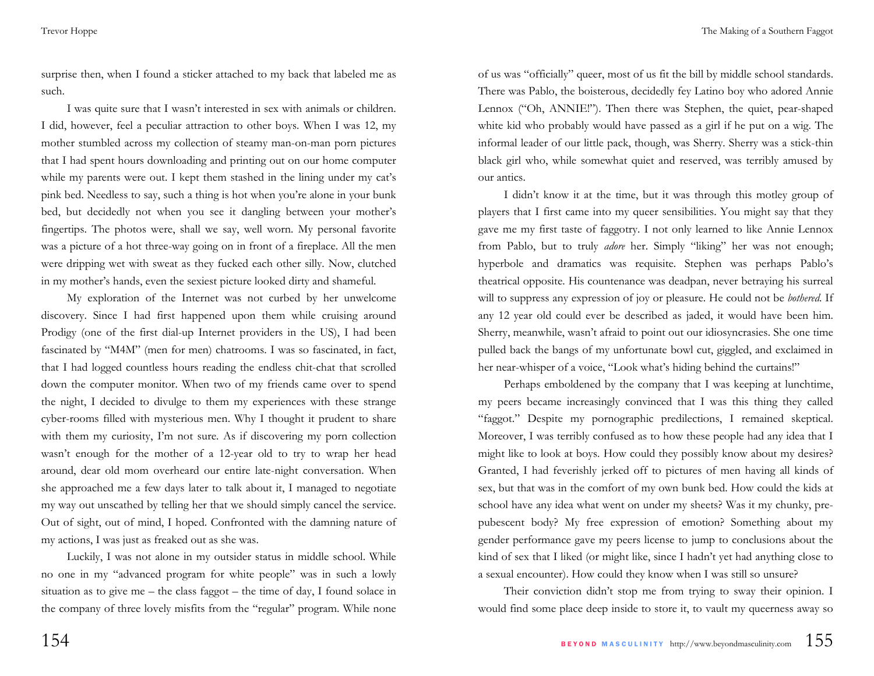surprise then, when I found a sticker attached to my back that labeled me as such.

I was quite sure that I wasn't interested in sex with animals or children. I did, however, feel a peculiar attraction to other boys. When I was 12, my mother stumbled across my collection of steamy man-on-man porn pictures that I had spent hours downloading and printing out on our home computer while my parents were out. I kept them stashed in the lining under my cat's pink bed. Needless to say, such a thing is hot when you're alone in your bunk bed, but decidedly not when you see it dangling between your mother's fingertips. The photos were, shall we say, well worn. My personal favorite was a picture of a hot three-way going on in front of a fireplace. All the men were dripping wet with sweat as they fucked each other silly. Now, clutched in my mother's hands, even the sexiest picture looked dirty and shameful.

My exploration of the Internet was not curbed by her unwelcome discovery. Since I had first happened upon them while cruising around Prodigy (one of the first dial-up Internet providers in the US), I had been fascinated by "M4M" (men for men) chatrooms. I was so fascinated, in fact, that I had logged countless hours reading the endless chit-chat that scrolled down the computer monitor. When two of my friends came over to spend the night, I decided to divulge to them my experiences with these strange cyber-rooms filled with mysterious men. Why I thought it prudent to share with them my curiosity, I'm not sure. As if discovering my porn collection wasn't enough for the mother of a 12-year old to try to wrap her head around, dear old mom overheard our entire late-night conversation. When she approached me a few days later to talk about it, I managed to negotiate my way out unscathed by telling her that we should simply cancel the service. Out of sight, out of mind, I hoped. Confronted with the damning nature of my actions, I was just as freaked out as she was.

Luckily, I was not alone in my outsider status in middle school. While no one in my "advanced program for white people" was in such a lowly situation as to give me – the class faggot – the time of day, I found solace in the company of three lovely misfits from the "regular" program. While none of us was "officially" queer, most of us fit the bill by middle school standards. There was Pablo, the boisterous, decidedly fey Latino boy who adored Annie Lennox ("Oh, ANNIE!"). Then there was Stephen, the quiet, pear-shaped white kid who probably would have passed as a girl if he put on a wig. The informal leader of our little pack, though, was Sherry. Sherry was a stick-thin black girl who, while somewhat quiet and reserved, was terribly amused by our antics.

I didn't know it at the time, but it was through this motley group of players that I first came into my queer sensibilities. You might say that they gave me my first taste of faggotry. I not only learned to like Annie Lennox from Pablo, but to truly *adore* her. Simply "liking" her was not enough; hyperbole and dramatics was requisite. Stephen was perhaps Pablo's theatrical opposite. His countenance was deadpan, never betraying his surreal will to suppress any expression of joy or pleasure. He could not be *bothered*. If any 12 year old could ever be described as jaded, it would have been him. Sherry, meanwhile, wasn't afraid to point out our idiosyncrasies. She one time pulled back the bangs of my unfortunate bowl cut, giggled, and exclaimed in her near-whisper of a voice, "Look what's hiding behind the curtains!"

Perhaps emboldened by the company that I was keeping at lunchtime, my peers became increasingly convinced that I was this thing they called "faggot." Despite my pornographic predilections, I remained skeptical. Moreover, I was terribly confused as to how these people had any idea that I might like to look at boys. How could they possibly know about my desires? Granted, I had feverishly jerked off to pictures of men having all kinds of sex, but that was in the comfort of my own bunk bed. How could the kids at school have any idea what went on under my sheets? Was it my chunky, prepubescent body? My free expression of emotion? Something about my gender performance gave my peers license to jump to conclusions about the kind of sex that I liked (or might like, since I hadn't yet had anything close to a sexual encounter). How could they know when I was still so unsure?

Their conviction didn't stop me from trying to sway their opinion. I would find some place deep inside to store it, to vault my queerness away so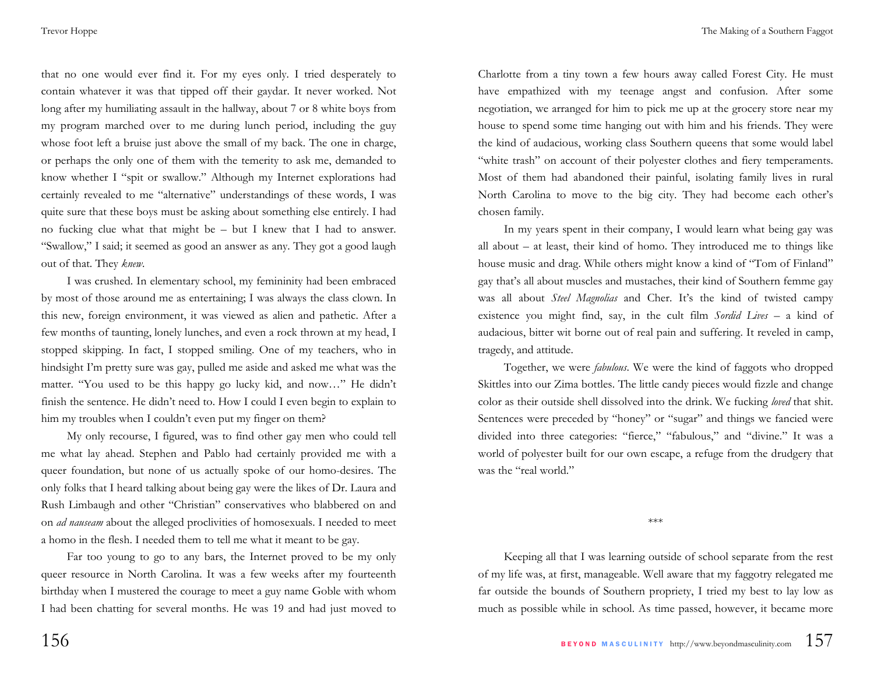that no one would ever find it. For my eyes only. I tried desperately to contain whatever it was that tipped off their gaydar. It never worked. Not long after my humiliating assault in the hallway, about 7 or 8 white boys from my program marched over to me during lunch period, including the guy whose foot left a bruise just above the small of my back. The one in charge, or perhaps the only one of them with the temerity to ask me, demanded to know whether I "spit or swallow." Although my Internet explorations had certainly revealed to me "alternative" understandings of these words, I was quite sure that these boys must be asking about something else entirely. I had no fucking clue what that might be – but I knew that I had to answer. "Swallow," I said; it seemed as good an answer as any. They got a good laugh out of that. They *knew*.

I was crushed. In elementary school, my femininity had been embraced by most of those around me as entertaining; I was always the class clown. In this new, foreign environment, it was viewed as alien and pathetic. After a few months of taunting, lonely lunches, and even a rock thrown at my head, I stopped skipping. In fact, I stopped smiling. One of my teachers, who in hindsight I'm pretty sure was gay, pulled me aside and asked me what was the matter. "You used to be this happy go lucky kid, and now…" He didn't finish the sentence. He didn't need to. How I could I even begin to explain to him my troubles when I couldn't even put my finger on them?

My only recourse, I figured, was to find other gay men who could tell me what lay ahead. Stephen and Pablo had certainly provided me with a queer foundation, but none of us actually spoke of our homo-desires. The only folks that I heard talking about being gay were the likes of Dr. Laura and Rush Limbaugh and other "Christian" conservatives who blabbered on and on *ad nauseam* about the alleged proclivities of homosexuals. I needed to meet a homo in the flesh. I needed them to tell me what it meant to be gay.

Far too young to go to any bars, the Internet proved to be my only queer resource in North Carolina. It was a few weeks after my fourteenth birthday when I mustered the courage to meet a guy name Goble with whom I had been chatting for several months. He was 19 and had just moved to

Charlotte from a tiny town a few hours away called Forest City. He must have empathized with my teenage angst and confusion. After some negotiation, we arranged for him to pick me up at the grocery store near my house to spend some time hanging out with him and his friends. They were the kind of audacious, working class Southern queens that some would label "white trash" on account of their polyester clothes and fiery temperaments. Most of them had abandoned their painful, isolating family lives in rural North Carolina to move to the big city. They had become each other's chosen family.

In my years spent in their company, I would learn what being gay was all about – at least, their kind of homo. They introduced me to things like house music and drag. While others might know a kind of "Tom of Finland" gay that's all about muscles and mustaches, their kind of Southern femme gay was all about *Steel Magnolias* and Cher. It's the kind of twisted campy existence you might find, say, in the cult film *Sordid Lives* – a kind of audacious, bitter wit borne out of real pain and suffering. It reveled in camp, tragedy, and attitude.

Together, we were *fabulous*. We were the kind of faggots who dropped Skittles into our Zima bottles. The little candy pieces would fizzle and change color as their outside shell dissolved into the drink. We fucking *loved* that shit. Sentences were preceded by "honey" or "sugar" and things we fancied were divided into three categories: "fierce," "fabulous," and "divine." It was a world of polyester built for our own escape, a refuge from the drudgery that was the "real world."

\*\*\*

Keeping all that I was learning outside of school separate from the rest of my life was, at first, manageable. Well aware that my faggotry relegated me far outside the bounds of Southern propriety, I tried my best to lay low as much as possible while in school. As time passed, however, it became more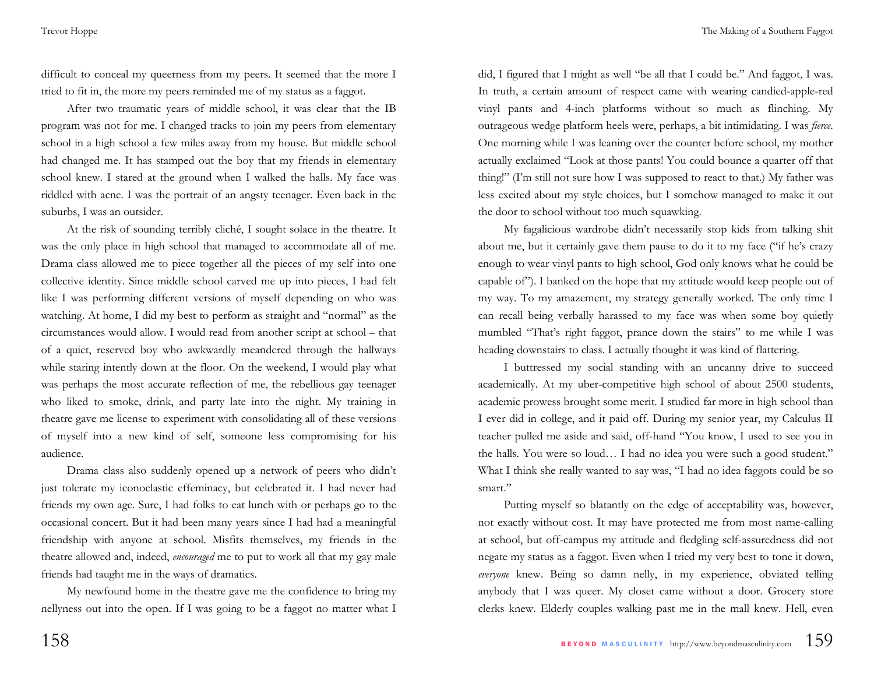difficult to conceal my queerness from my peers. It seemed that the more I tried to fit in, the more my peers reminded me of my status as a faggot.

After two traumatic years of middle school, it was clear that the IB program was not for me. I changed tracks to join my peers from elementary school in a high school a few miles away from my house. But middle school had changed me. It has stamped out the boy that my friends in elementary school knew. I stared at the ground when I walked the halls. My face was riddled with acne. I was the portrait of an angsty teenager. Even back in the suburbs, I was an outsider.

At the risk of sounding terribly cliché, I sought solace in the theatre. It was the only place in high school that managed to accommodate all of me. Drama class allowed me to piece together all the pieces of my self into one collective identity. Since middle school carved me up into pieces, I had felt like I was performing different versions of myself depending on who was watching. At home, I did my best to perform as straight and "normal" as the circumstances would allow. I would read from another script at school – that of a quiet, reserved boy who awkwardly meandered through the hallways while staring intently down at the floor. On the weekend, I would play what was perhaps the most accurate reflection of me, the rebellious gay teenager who liked to smoke, drink, and party late into the night. My training in theatre gave me license to experiment with consolidating all of these versions of myself into a new kind of self, someone less compromising for his audience.

Drama class also suddenly opened up a network of peers who didn't just tolerate my iconoclastic effeminacy, but celebrated it. I had never had friends my own age. Sure, I had folks to eat lunch with or perhaps go to the occasional concert. But it had been many years since I had had a meaningful friendship with anyone at school. Misfits themselves, my friends in the theatre allowed and, indeed, *encouraged* me to put to work all that my gay male friends had taught me in the ways of dramatics.

My newfound home in the theatre gave me the confidence to bring my nellyness out into the open. If I was going to be a faggot no matter what I

did, I figured that I might as well "be all that I could be." And faggot, I was. In truth, a certain amount of respect came with wearing candied-apple-red vinyl pants and 4-inch platforms without so much as flinching. My outrageous wedge platform heels were, perhaps, a bit intimidating. I was *fierce*. One morning while I was leaning over the counter before school, my mother actually exclaimed "Look at those pants! You could bounce a quarter off that thing!" (I'm still not sure how I was supposed to react to that.) My father was less excited about my style choices, but I somehow managed to make it out the door to school without too much squawking.

My fagalicious wardrobe didn't necessarily stop kids from talking shit about me, but it certainly gave them pause to do it to my face ("if he's crazy enough to wear vinyl pants to high school, God only knows what he could be capable of"). I banked on the hope that my attitude would keep people out of my way. To my amazement, my strategy generally worked. The only time I can recall being verbally harassed to my face was when some boy quietly mumbled "That's right faggot, prance down the stairs" to me while I was heading downstairs to class. I actually thought it was kind of flattering.

I buttressed my social standing with an uncanny drive to succeed academically. At my uber-competitive high school of about 2500 students, academic prowess brought some merit. I studied far more in high school than I ever did in college, and it paid off. During my senior year, my Calculus II teacher pulled me aside and said, off-hand "You know, I used to see you in the halls. You were so loud… I had no idea you were such a good student." What I think she really wanted to say was, "I had no idea faggots could be so smart."

Putting myself so blatantly on the edge of acceptability was, however, not exactly without cost. It may have protected me from most name-calling at school, but off-campus my attitude and fledgling self-assuredness did not negate my status as a faggot. Even when I tried my very best to tone it down, *everyone* knew. Being so damn nelly, in my experience, obviated telling anybody that I was queer. My closet came without a door. Grocery store clerks knew. Elderly couples walking past me in the mall knew. Hell, even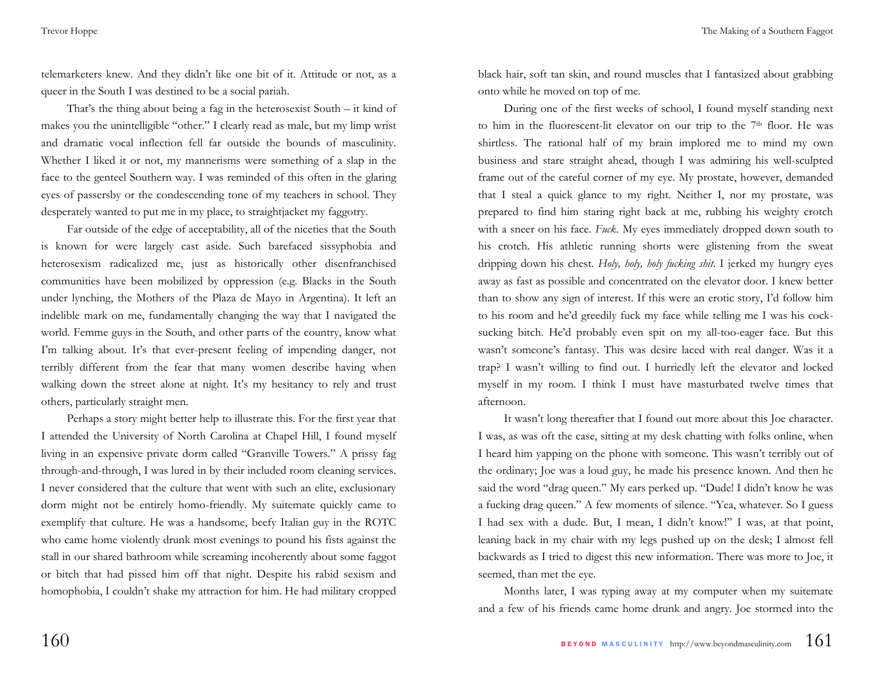Trevor Hoppe

telemarketers knew. And they didn't like one bit of it. Attitude or not, as a queer in the South I was destined to be a social pariah.

That's the thing about being a fag in the heterosexist South – it kind of makes you the unintelligible "other." I clearly read as male, but my limp wrist and dramatic vocal inflection fell far outside the bounds of masculinity. Whether I liked it or not, my mannerisms were something of a slap in the face to the genteel Southern way. I was reminded of this often in the glaring eyes of passersby or the condescending tone of my teachers in school. They desperately wanted to put me in my place, to straightjacket my faggotry.

Far outside of the edge of acceptability, all of the niceties that the South is known for were largely cast aside. Such barefaced sissyphobia and heterosexism radicalized me, just as historically other disenfranchised communities have been mobilized by oppression (e.g. Blacks in the South under lynching, the Mothers of the Plaza de Mayo in Argentina). It left an indelible mark on me, fundamentally changing the way that I navigated the world. Femme guys in the South, and other parts of the country, know what I'm talking about. It's that ever-present feeling of impending danger, not terribly different from the fear that many women describe having when walking down the street alone at night. It's my hesitancy to rely and trust others, particularly straight men.

Perhaps a story might better help to illustrate this. For the first year that I attended the University of North Carolina at Chapel Hill, I found myself living in an expensive private dorm called "Granville Towers." A prissy fag through-and-through, I was lured in by their included room cleaning services. I never considered that the culture that went with such an elite, exclusionary dorm might not be entirely homo-friendly. My suitemate quickly came to exemplify that culture. He was a handsome, beefy Italian guy in the ROTC who came home violently drunk most evenings to pound his fists against the stall in our shared bathroom while screaming incoherently about some faggot or bitch that had pissed him off that night. Despite his rabid sexism and homophobia, I couldn't shake my attraction for him. He had military cropped

black hair, soft tan skin, and round muscles that I fantasized about grabbing onto while he moved on top of me.

During one of the first weeks of school, I found myself standing next to him in the fluorescent-lit elevator on our trip to the 7<sup>th</sup> floor. He was shirtless. The rational half of my brain implored me to mind my own business and stare straight ahead, though I was admiring his well-sculpted frame out of the careful corner of my eye. My prostate, however, demanded that I steal a quick glance to my right. Neither I, nor my prostate, was prepared to find him staring right back at me, rubbing his weighty crotch with a sneer on his face. *Fuck.* My eyes immediately dropped down south to his crotch. His athletic running shorts were glistening from the sweat dripping down his chest. *Holy, holy, holy fucking shit*. I jerked my hungry eyes away as fast as possible and concentrated on the elevator door. I knew better than to show any sign of interest. If this were an erotic story, I'd follow him to his room and he'd greedily fuck my face while telling me I was his cocksucking bitch. He'd probably even spit on my all-too-eager face. But this wasn't someone's fantasy. This was desire laced with real danger. Was it a trap? I wasn't willing to find out. I hurriedly left the elevator and locked myself in my room. I think I must have masturbated twelve times that afternoon.

It wasn't long thereafter that I found out more about this Joe character. I was, as was oft the case, sitting at my desk chatting with folks online, when I heard him yapping on the phone with someone. This wasn't terribly out of the ordinary; Joe was a loud guy, he made his presence known. And then he said the word "drag queen." My ears perked up. "Dude! I didn't know he was a fucking drag queen." A few moments of silence. "Yea, whatever. So I guess I had sex with a dude. But, I mean, I didn't know!" I was, at that point, leaning back in my chair with my legs pushed up on the desk; I almost fell backwards as I tried to digest this new information. There was more to Joe, it seemed, than met the eye.

Months later, I was typing away at my computer when my suitemate and a few of his friends came home drunk and angry. Joe stormed into the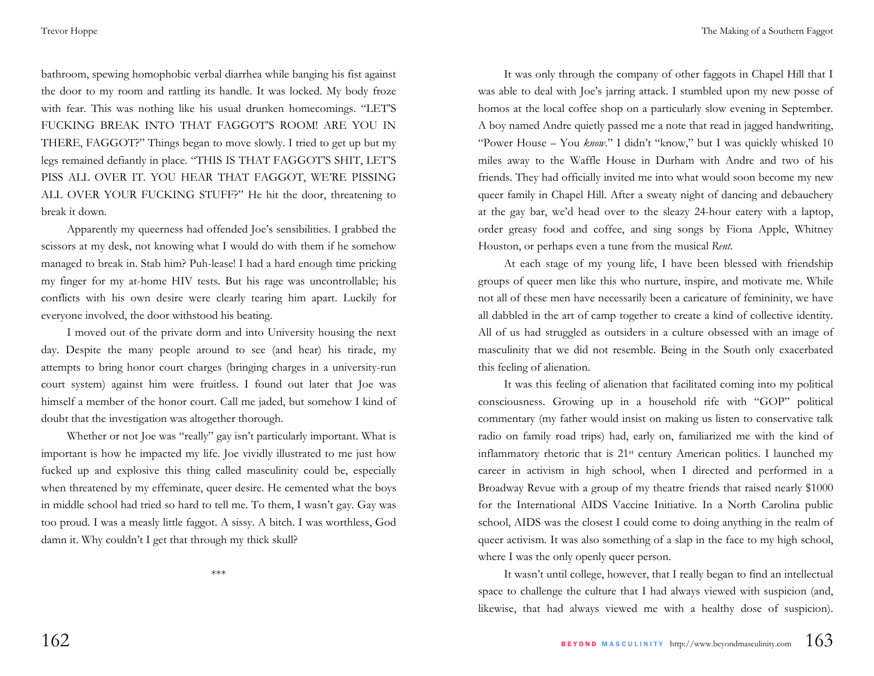The Making of a Southern Faggot

bathroom, spewing homophobic verbal diarrhea while banging his fist against the door to my room and rattling its handle. It was locked. My body froze with fear. This was nothing like his usual drunken homecomings. "LET'S FUCKING BREAK INTO THAT FAGGOT'S ROOM! ARE YOU IN THERE, FAGGOT?" Things began to move slowly. I tried to get up but my legs remained defiantly in place. "THIS IS THAT FAGGOT'S SHIT, LET'S PISS ALL OVER IT. YOU HEAR THAT FAGGOT, WE'RE PISSING ALL OVER YOUR FUCKING STUFF?" He hit the door, threatening to break it down.

Apparently my queerness had offended Joe's sensibilities. I grabbed the scissors at my desk, not knowing what I would do with them if he somehow managed to break in. Stab him? Puh-lease! I had a hard enough time pricking my finger for my at-home HIV tests. But his rage was uncontrollable; his conflicts with his own desire were clearly tearing him apart. Luckily for everyone involved, the door withstood his beating.

I moved out of the private dorm and into University housing the next day. Despite the many people around to see (and hear) his tirade, my attempts to bring honor court charges (bringing charges in a university-run court system) against him were fruitless. I found out later that Joe was himself a member of the honor court. Call me jaded, but somehow I kind of doubt that the investigation was altogether thorough.

Whether or not Joe was "really" gay isn't particularly important. What is important is how he impacted my life. Joe vividly illustrated to me just how fucked up and explosive this thing called masculinity could be, especially when threatened by my effeminate, queer desire. He cemented what the boys in middle school had tried so hard to tell me. To them, I wasn't gay. Gay was too proud. I was a measly little faggot. A sissy. A bitch. I was worthless, God damn it. Why couldn't I get that through my thick skull?

\*\*\*

It was only through the company of other faggots in Chapel Hill that I was able to deal with Joe's jarring attack. I stumbled upon my new posse of homos at the local coffee shop on a particularly slow evening in September. A boy named Andre quietly passed me a note that read in jagged handwriting, "Power House – You *know*." I didn't "know," but I was quickly whisked 10 miles away to the Waffle House in Durham with Andre and two of his friends. They had officially invited me into what would soon become my new queer family in Chapel Hill. After a sweaty night of dancing and debauchery at the gay bar, we'd head over to the sleazy 24-hour eatery with a laptop, order greasy food and coffee, and sing songs by Fiona Apple, Whitney Houston, or perhaps even a tune from the musical *Rent*.

At each stage of my young life, I have been blessed with friendship groups of queer men like this who nurture, inspire, and motivate me. While not all of these men have necessarily been a caricature of femininity, we have all dabbled in the art of camp together to create a kind of collective identity. All of us had struggled as outsiders in a culture obsessed with an image of masculinity that we did not resemble. Being in the South only exacerbated this feeling of alienation.

It was this feeling of alienation that facilitated coming into my political consciousness. Growing up in a household rife with "GOP" political commentary (my father would insist on making us listen to conservative talk radio on family road trips) had, early on, familiarized me with the kind of inflammatory rhetoric that is 21st century American politics. I launched my career in activism in high school, when I directed and performed in a Broadway Revue with a group of my theatre friends that raised nearly \$1000 for the International AIDS Vaccine Initiative. In a North Carolina public school, AIDS was the closest I could come to doing anything in the realm of queer activism. It was also something of a slap in the face to my high school, where I was the only openly queer person.

It wasn't until college, however, that I really began to find an intellectual space to challenge the culture that I had always viewed with suspicion (and, likewise, that had always viewed me with a healthy dose of suspicion).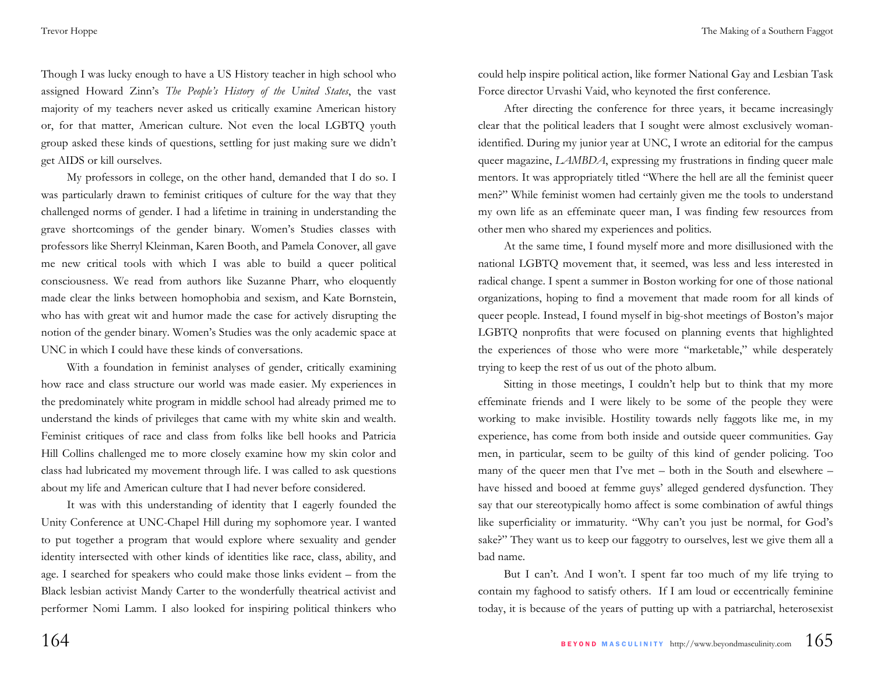Though I was lucky enough to have a US History teacher in high school who assigned Howard Zinn's *The People's History of the United States*, the vast majority of my teachers never asked us critically examine American history or, for that matter, American culture. Not even the local LGBTQ youth group asked these kinds of questions, settling for just making sure we didn't get AIDS or kill ourselves.

My professors in college, on the other hand, demanded that I do so. I was particularly drawn to feminist critiques of culture for the way that they challenged norms of gender. I had a lifetime in training in understanding the grave shortcomings of the gender binary. Women's Studies classes with professors like Sherryl Kleinman, Karen Booth, and Pamela Conover, all gave me new critical tools with which I was able to build a queer political consciousness. We read from authors like Suzanne Pharr, who eloquently made clear the links between homophobia and sexism, and Kate Bornstein, who has with great wit and humor made the case for actively disrupting the notion of the gender binary. Women's Studies was the only academic space at UNC in which I could have these kinds of conversations.

With a foundation in feminist analyses of gender, critically examining how race and class structure our world was made easier. My experiences in the predominately white program in middle school had already primed me to understand the kinds of privileges that came with my white skin and wealth. Feminist critiques of race and class from folks like bell hooks and Patricia Hill Collins challenged me to more closely examine how my skin color and class had lubricated my movement through life. I was called to ask questions about my life and American culture that I had never before considered.

It was with this understanding of identity that I eagerly founded the Unity Conference at UNC-Chapel Hill during my sophomore year. I wanted to put together a program that would explore where sexuality and gender identity intersected with other kinds of identities like race, class, ability, and age. I searched for speakers who could make those links evident – from the Black lesbian activist Mandy Carter to the wonderfully theatrical activist and performer Nomi Lamm. I also looked for inspiring political thinkers who

could help inspire political action, like former National Gay and Lesbian Task Force director Urvashi Vaid, who keynoted the first conference.

After directing the conference for three years, it became increasingly clear that the political leaders that I sought were almost exclusively womanidentified. During my junior year at UNC, I wrote an editorial for the campus queer magazine, *LAMBDA*, expressing my frustrations in finding queer male mentors. It was appropriately titled "Where the hell are all the feminist queer men?" While feminist women had certainly given me the tools to understand my own life as an effeminate queer man, I was finding few resources from other men who shared my experiences and politics.

At the same time, I found myself more and more disillusioned with the national LGBTQ movement that, it seemed, was less and less interested in radical change. I spent a summer in Boston working for one of those national organizations, hoping to find a movement that made room for all kinds of queer people. Instead, I found myself in big-shot meetings of Boston's major LGBTQ nonprofits that were focused on planning events that highlighted the experiences of those who were more "marketable," while desperately trying to keep the rest of us out of the photo album.

Sitting in those meetings, I couldn't help but to think that my more effeminate friends and I were likely to be some of the people they were working to make invisible. Hostility towards nelly faggots like me, in my experience, has come from both inside and outside queer communities. Gay men, in particular, seem to be guilty of this kind of gender policing. Too many of the queer men that I've met – both in the South and elsewhere – have hissed and booed at femme guys' alleged gendered dysfunction. They say that our stereotypically homo affect is some combination of awful things like superficiality or immaturity. "Why can't you just be normal, for God's sake?" They want us to keep our faggotry to ourselves, lest we give them all a bad name.

But I can't. And I won't. I spent far too much of my life trying to contain my faghood to satisfy others. If I am loud or eccentrically feminine today, it is because of the years of putting up with a patriarchal, heterosexist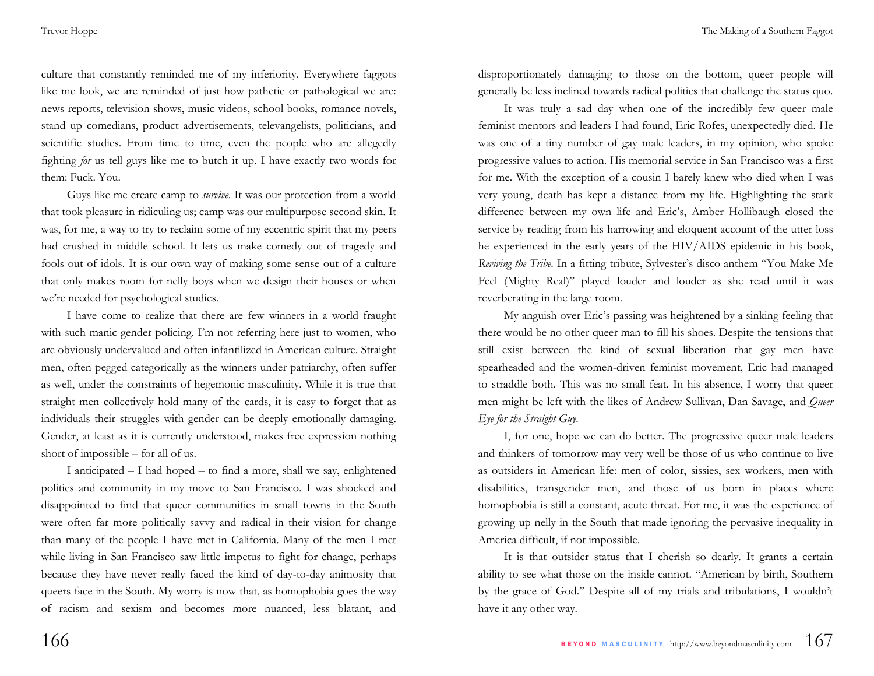culture that constantly reminded me of my inferiority. Everywhere faggots like me look, we are reminded of just how pathetic or pathological we are: news reports, television shows, music videos, school books, romance novels, stand up comedians, product advertisements, televangelists, politicians, and scientific studies. From time to time, even the people who are allegedly fighting *for* us tell guys like me to butch it up. I have exactly two words for them: Fuck. You.

Guys like me create camp to *survive*. It was our protection from a world that took pleasure in ridiculing us; camp was our multipurpose second skin. It was, for me, a way to try to reclaim some of my eccentric spirit that my peers had crushed in middle school. It lets us make comedy out of tragedy and fools out of idols. It is our own way of making some sense out of a culture that only makes room for nelly boys when we design their houses or when we're needed for psychological studies.

I have come to realize that there are few winners in a world fraught with such manic gender policing. I'm not referring here just to women, who are obviously undervalued and often infantilized in American culture. Straight men, often pegged categorically as the winners under patriarchy, often suffer as well, under the constraints of hegemonic masculinity. While it is true that straight men collectively hold many of the cards, it is easy to forget that as individuals their struggles with gender can be deeply emotionally damaging. Gender, at least as it is currently understood, makes free expression nothing short of impossible – for all of us.

I anticipated – I had hoped – to find a more, shall we say, enlightened politics and community in my move to San Francisco. I was shocked and disappointed to find that queer communities in small towns in the South were often far more politically savvy and radical in their vision for change than many of the people I have met in California. Many of the men I met while living in San Francisco saw little impetus to fight for change, perhaps because they have never really faced the kind of day-to-day animosity that queers face in the South. My worry is now that, as homophobia goes the way of racism and sexism and becomes more nuanced, less blatant, and

disproportionately damaging to those on the bottom, queer people will generally be less inclined towards radical politics that challenge the status quo.

It was truly a sad day when one of the incredibly few queer male feminist mentors and leaders I had found, Eric Rofes, unexpectedly died. He was one of a tiny number of gay male leaders, in my opinion, who spoke progressive values to action. His memorial service in San Francisco was a first for me. With the exception of a cousin I barely knew who died when I was very young, death has kept a distance from my life. Highlighting the stark difference between my own life and Eric's, Amber Hollibaugh closed the service by reading from his harrowing and eloquent account of the utter loss he experienced in the early years of the HIV/AIDS epidemic in his book, *Reviving the Tribe*. In a fitting tribute, Sylvester's disco anthem "You Make Me Feel (Mighty Real)" played louder and louder as she read until it was reverberating in the large room.

My anguish over Eric's passing was heightened by a sinking feeling that there would be no other queer man to fill his shoes. Despite the tensions that still exist between the kind of sexual liberation that gay men have spearheaded and the women-driven feminist movement, Eric had managed to straddle both. This was no small feat. In his absence, I worry that queer men might be left with the likes of Andrew Sullivan, Dan Savage, and *Queer Eye for the Straight Guy*.

I, for one, hope we can do better. The progressive queer male leaders and thinkers of tomorrow may very well be those of us who continue to live as outsiders in American life: men of color, sissies, sex workers, men with disabilities, transgender men, and those of us born in places where homophobia is still a constant, acute threat. For me, it was the experience of growing up nelly in the South that made ignoring the pervasive inequality in America difficult, if not impossible.

It is that outsider status that I cherish so dearly. It grants a certain ability to see what those on the inside cannot. "American by birth, Southern by the grace of God." Despite all of my trials and tribulations, I wouldn't have it any other way.